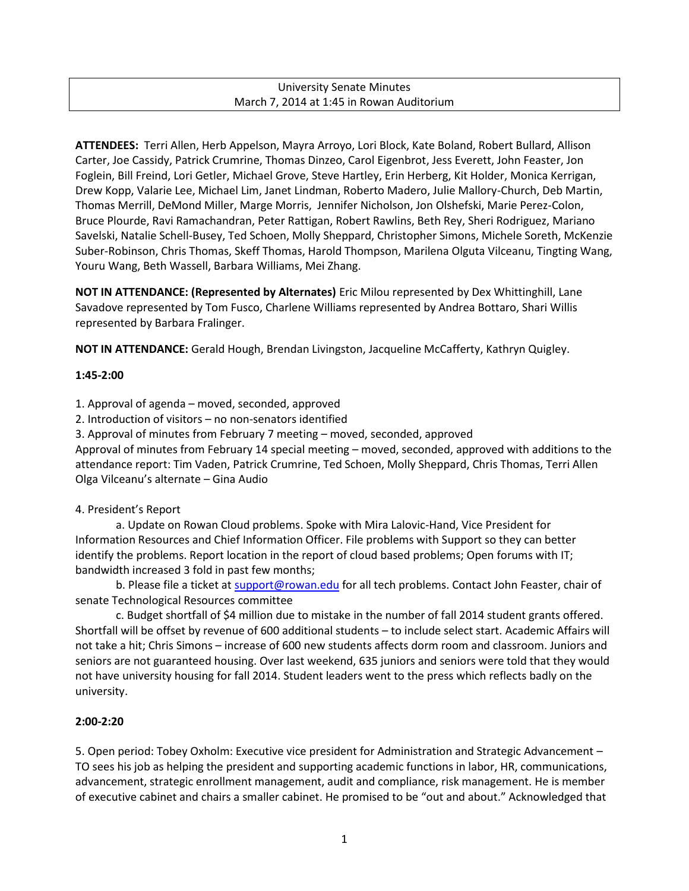#### University Senate Minutes March 7, 2014 at 1:45 in Rowan Auditorium

**ATTENDEES:** Terri Allen, Herb Appelson, Mayra Arroyo, Lori Block, Kate Boland, Robert Bullard, Allison Carter, Joe Cassidy, Patrick Crumrine, Thomas Dinzeo, Carol Eigenbrot, Jess Everett, John Feaster, Jon Foglein, Bill Freind, Lori Getler, Michael Grove, Steve Hartley, Erin Herberg, Kit Holder, Monica Kerrigan, Drew Kopp, Valarie Lee, Michael Lim, Janet Lindman, Roberto Madero, Julie Mallory-Church, Deb Martin, Thomas Merrill, DeMond Miller, Marge Morris, Jennifer Nicholson, Jon Olshefski, Marie Perez-Colon, Bruce Plourde, Ravi Ramachandran, Peter Rattigan, Robert Rawlins, Beth Rey, Sheri Rodriguez, Mariano Savelski, Natalie Schell-Busey, Ted Schoen, Molly Sheppard, Christopher Simons, Michele Soreth, McKenzie Suber-Robinson, Chris Thomas, Skeff Thomas, Harold Thompson, Marilena Olguta Vilceanu, Tingting Wang, Youru Wang, Beth Wassell, Barbara Williams, Mei Zhang.

**NOT IN ATTENDANCE: (Represented by Alternates)** Eric Milou represented by Dex Whittinghill, Lane Savadove represented by Tom Fusco, Charlene Williams represented by Andrea Bottaro, Shari Willis represented by Barbara Fralinger.

**NOT IN ATTENDANCE:** Gerald Hough, Brendan Livingston, Jacqueline McCafferty, Kathryn Quigley.

#### **1:45-2:00**

1. Approval of agenda – moved, seconded, approved

2. Introduction of visitors – no non-senators identified

3. Approval of minutes from February 7 meeting – moved, seconded, approved

Approval of minutes from February 14 special meeting – moved, seconded, approved with additions to the attendance report: Tim Vaden, Patrick Crumrine, Ted Schoen, Molly Sheppard, Chris Thomas, Terri Allen Olga Vilceanu's alternate – Gina Audio

#### 4. President's Report

a. Update on Rowan Cloud problems. Spoke with Mira Lalovic-Hand, Vice President for Information Resources and Chief Information Officer. File problems with Support so they can better identify the problems. Report location in the report of cloud based problems; Open forums with IT; bandwidth increased 3 fold in past few months;

b. Please file a ticket at [support@rowan.edu](mailto:support@rowan.edu) for all tech problems. Contact John Feaster, chair of senate Technological Resources committee

c. Budget shortfall of \$4 million due to mistake in the number of fall 2014 student grants offered. Shortfall will be offset by revenue of 600 additional students – to include select start. Academic Affairs will not take a hit; Chris Simons – increase of 600 new students affects dorm room and classroom. Juniors and seniors are not guaranteed housing. Over last weekend, 635 juniors and seniors were told that they would not have university housing for fall 2014. Student leaders went to the press which reflects badly on the university.

#### **2:00-2:20**

5. Open period: Tobey Oxholm: Executive vice president for Administration and Strategic Advancement – TO sees his job as helping the president and supporting academic functions in labor, HR, communications, advancement, strategic enrollment management, audit and compliance, risk management. He is member of executive cabinet and chairs a smaller cabinet. He promised to be "out and about." Acknowledged that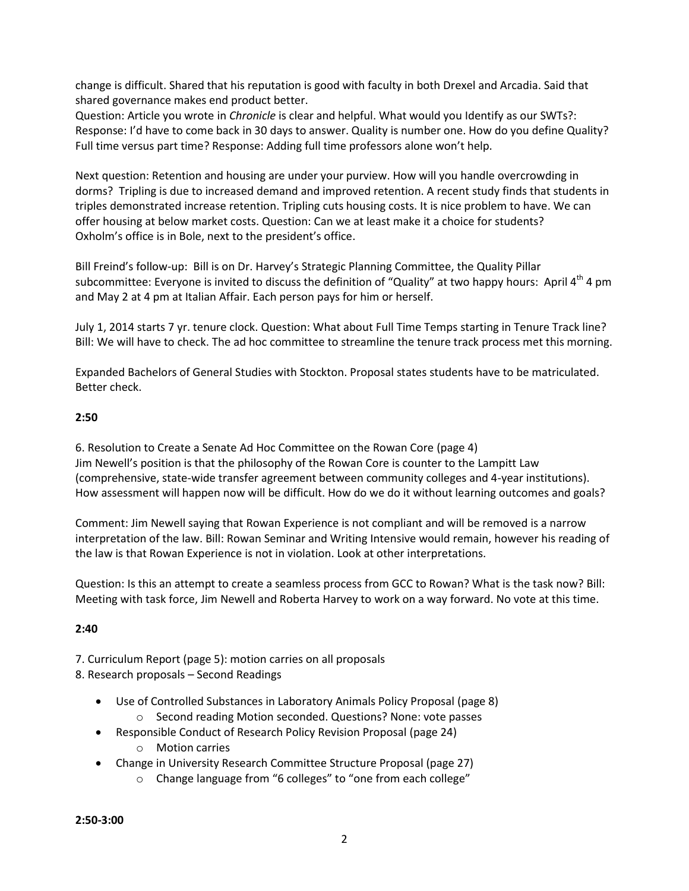change is difficult. Shared that his reputation is good with faculty in both Drexel and Arcadia. Said that shared governance makes end product better.

Question: Article you wrote in *Chronicle* is clear and helpful. What would you Identify as our SWTs?: Response: I'd have to come back in 30 days to answer. Quality is number one. How do you define Quality? Full time versus part time? Response: Adding full time professors alone won't help.

Next question: Retention and housing are under your purview. How will you handle overcrowding in dorms? Tripling is due to increased demand and improved retention. A recent study finds that students in triples demonstrated increase retention. Tripling cuts housing costs. It is nice problem to have. We can offer housing at below market costs. Question: Can we at least make it a choice for students? Oxholm's office is in Bole, next to the president's office.

Bill Freind's follow-up: Bill is on Dr. Harvey's Strategic Planning Committee, the Quality Pillar subcommittee: Everyone is invited to discuss the definition of "Quality" at two happy hours: April 4<sup>th</sup> 4 pm and May 2 at 4 pm at Italian Affair. Each person pays for him or herself.

July 1, 2014 starts 7 yr. tenure clock. Question: What about Full Time Temps starting in Tenure Track line? Bill: We will have to check. The ad hoc committee to streamline the tenure track process met this morning.

Expanded Bachelors of General Studies with Stockton. Proposal states students have to be matriculated. Better check.

#### **2:50**

6. Resolution to Create a Senate Ad Hoc Committee on the Rowan Core (page 4) Jim Newell's position is that the philosophy of the Rowan Core is counter to the Lampitt Law (comprehensive, state-wide transfer agreement between community colleges and 4-year institutions). How assessment will happen now will be difficult. How do we do it without learning outcomes and goals?

Comment: Jim Newell saying that Rowan Experience is not compliant and will be removed is a narrow interpretation of the law. Bill: Rowan Seminar and Writing Intensive would remain, however his reading of the law is that Rowan Experience is not in violation. Look at other interpretations.

Question: Is this an attempt to create a seamless process from GCC to Rowan? What is the task now? Bill: Meeting with task force, Jim Newell and Roberta Harvey to work on a way forward. No vote at this time.

#### **2:40**

7. Curriculum Report (page 5): motion carries on all proposals

8. Research proposals – Second Readings

- Use of Controlled Substances in Laboratory Animals Policy Proposal (page 8)
	- o Second reading Motion seconded. Questions? None: vote passes
- Responsible Conduct of Research Policy Revision Proposal (page 24)
	- o Motion carries
- Change in University Research Committee Structure Proposal (page 27)
	- o Change language from "6 colleges" to "one from each college"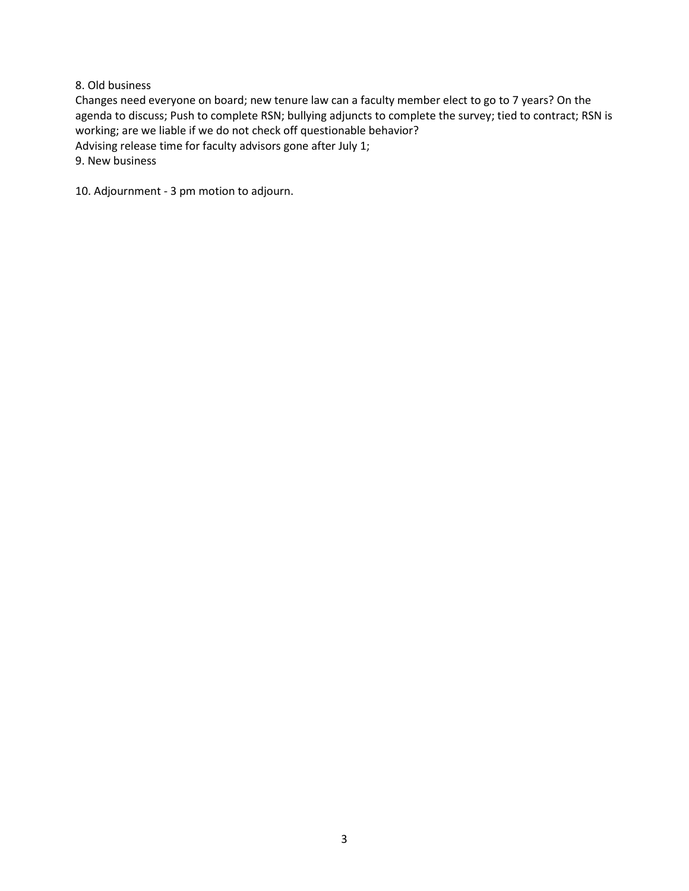#### 8. Old business

Changes need everyone on board; new tenure law can a faculty member elect to go to 7 years? On the agenda to discuss; Push to complete RSN; bullying adjuncts to complete the survey; tied to contract; RSN is working; are we liable if we do not check off questionable behavior? Advising release time for faculty advisors gone after July 1; 9. New business

10. Adjournment - 3 pm motion to adjourn.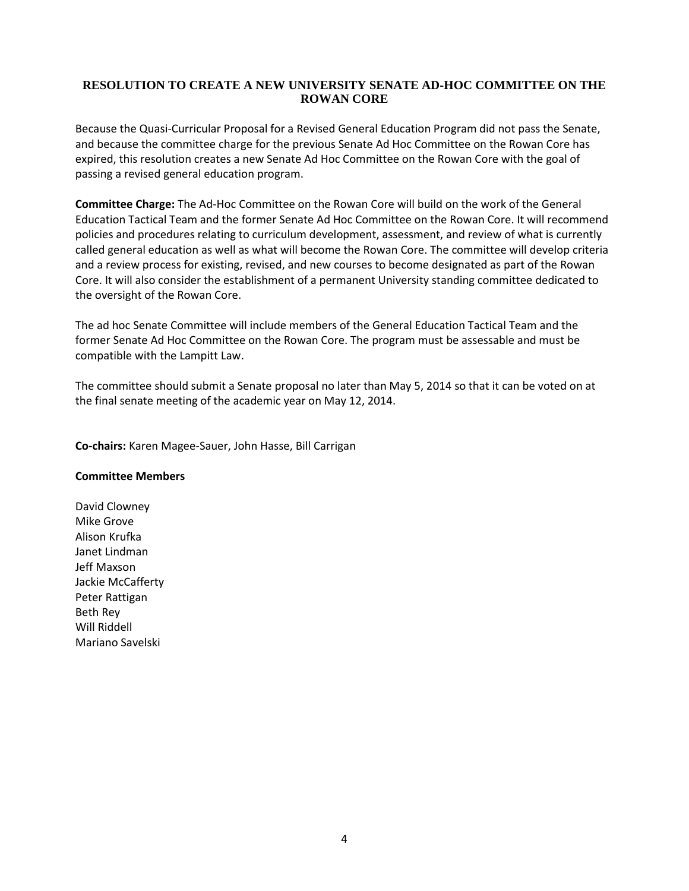#### **RESOLUTION TO CREATE A NEW UNIVERSITY SENATE AD-HOC COMMITTEE ON THE ROWAN CORE**

Because the Quasi-Curricular Proposal for a Revised General Education Program did not pass the Senate, and because the committee charge for the previous Senate Ad Hoc Committee on the Rowan Core has expired, this resolution creates a new Senate Ad Hoc Committee on the Rowan Core with the goal of passing a revised general education program.

**Committee Charge:** The Ad-Hoc Committee on the Rowan Core will build on the work of the General Education Tactical Team and the former Senate Ad Hoc Committee on the Rowan Core. It will recommend policies and procedures relating to curriculum development, assessment, and review of what is currently called general education as well as what will become the Rowan Core. The committee will develop criteria and a review process for existing, revised, and new courses to become designated as part of the Rowan Core. It will also consider the establishment of a permanent University standing committee dedicated to the oversight of the Rowan Core.

The ad hoc Senate Committee will include members of the General Education Tactical Team and the former Senate Ad Hoc Committee on the Rowan Core. The program must be assessable and must be compatible with the Lampitt Law.

The committee should submit a Senate proposal no later than May 5, 2014 so that it can be voted on at the final senate meeting of the academic year on May 12, 2014.

**Co-chairs:** Karen Magee-Sauer, John Hasse, Bill Carrigan

#### **Committee Members**

David Clowney Mike Grove Alison Krufka Janet Lindman Jeff Maxson Jackie McCafferty Peter Rattigan Beth Rey Will Riddell Mariano Savelski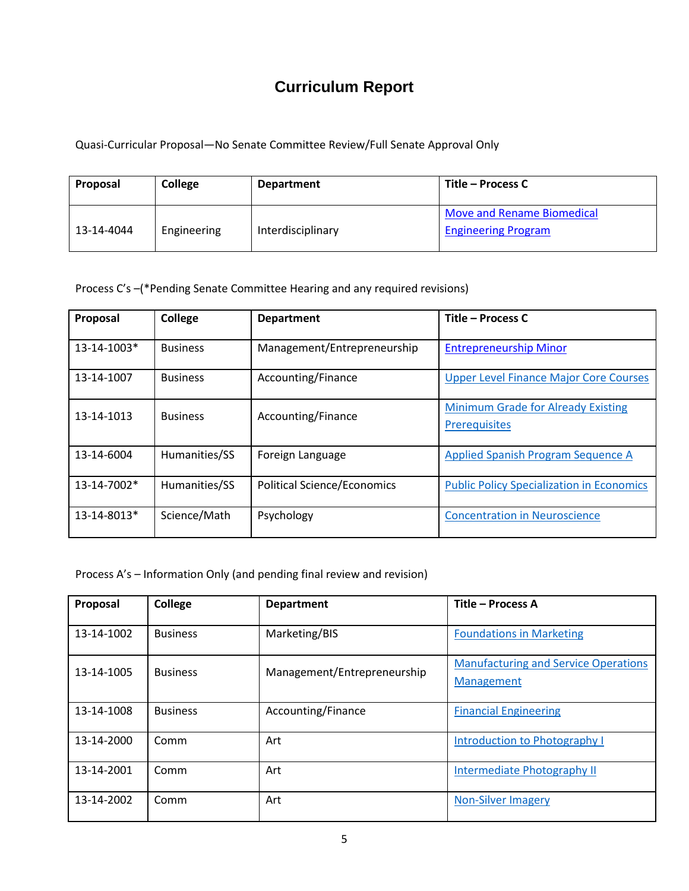# **Curriculum Report**

Quasi-Curricular Proposal—No Senate Committee Review/Full Senate Approval Only

| Proposal   | College     | <b>Department</b> | Title – Process C                                        |
|------------|-------------|-------------------|----------------------------------------------------------|
| 13-14-4044 | Engineering | Interdisciplinary | Move and Rename Biomedical<br><b>Engineering Program</b> |

Process C's –(\*Pending Senate Committee Hearing and any required revisions)

| Proposal    | College         | <b>Department</b>                  | Title – Process C                                          |
|-------------|-----------------|------------------------------------|------------------------------------------------------------|
| 13-14-1003* | <b>Business</b> | Management/Entrepreneurship        | <b>Entrepreneurship Minor</b>                              |
| 13-14-1007  | <b>Business</b> | Accounting/Finance                 | <b>Upper Level Finance Major Core Courses</b>              |
| 13-14-1013  | <b>Business</b> | Accounting/Finance                 | Minimum Grade for Already Existing<br><b>Prerequisites</b> |
| 13-14-6004  | Humanities/SS   | Foreign Language                   | Applied Spanish Program Sequence A                         |
| 13-14-7002* | Humanities/SS   | <b>Political Science/Economics</b> | <b>Public Policy Specialization in Economics</b>           |
| 13-14-8013* | Science/Math    | Psychology                         | <b>Concentration in Neuroscience</b>                       |

Process A's – Information Only (and pending final review and revision)

| Proposal   | College         | <b>Department</b>           | Title - Process A                           |
|------------|-----------------|-----------------------------|---------------------------------------------|
| 13-14-1002 | <b>Business</b> | Marketing/BIS               | <b>Foundations in Marketing</b>             |
| 13-14-1005 | <b>Business</b> | Management/Entrepreneurship | <b>Manufacturing and Service Operations</b> |
|            |                 |                             | Management                                  |
| 13-14-1008 | <b>Business</b> | Accounting/Finance          | <b>Financial Engineering</b>                |
| 13-14-2000 | Comm            | Art                         | Introduction to Photography I               |
| 13-14-2001 | Comm            | Art                         | Intermediate Photography II                 |
| 13-14-2002 | Comm            | Art                         | <b>Non-Silver Imagery</b>                   |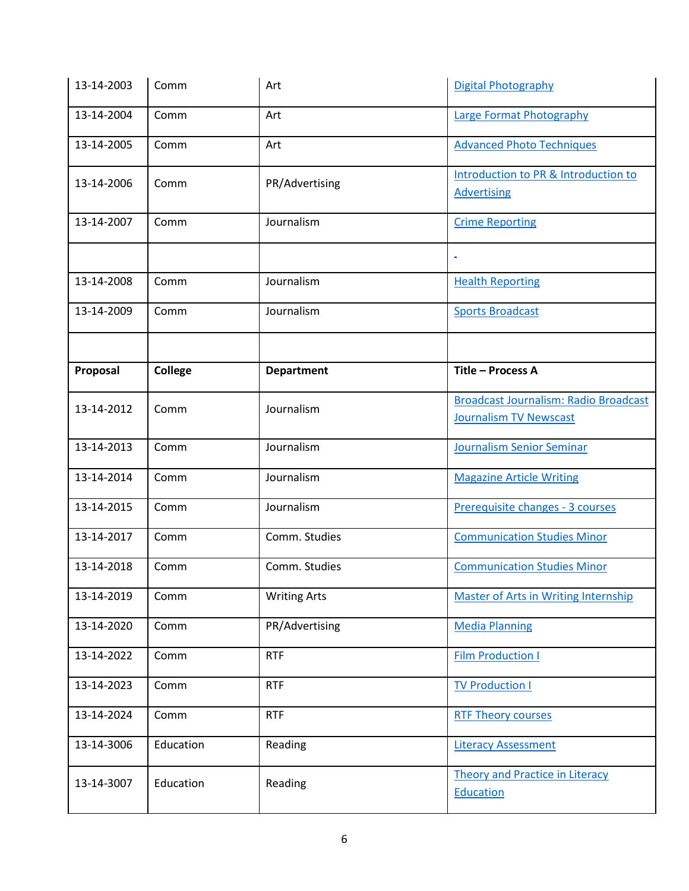| 13-14-2003 | Comm           | Art                 | Digital Photography                                                           |
|------------|----------------|---------------------|-------------------------------------------------------------------------------|
| 13-14-2004 | Comm           | Art                 | <b>Large Format Photography</b>                                               |
| 13-14-2005 | Comm           | Art                 | <b>Advanced Photo Techniques</b>                                              |
| 13-14-2006 | Comm           | PR/Advertising      | Introduction to PR & Introduction to<br><b>Advertising</b>                    |
| 13-14-2007 | Comm           | Journalism          | <b>Crime Reporting</b>                                                        |
|            |                |                     |                                                                               |
| 13-14-2008 | Comm           | Journalism          | <b>Health Reporting</b>                                                       |
| 13-14-2009 | Comm           | Journalism          | <b>Sports Broadcast</b>                                                       |
|            |                |                     |                                                                               |
| Proposal   | <b>College</b> | <b>Department</b>   | Title - Process A                                                             |
| 13-14-2012 | Comm           | Journalism          | <b>Broadcast Journalism: Radio Broadcast</b><br><b>Journalism TV Newscast</b> |
| 13-14-2013 | Comm           | Journalism          | Journalism Senior Seminar                                                     |
| 13-14-2014 | Comm           | Journalism          | <b>Magazine Article Writing</b>                                               |
| 13-14-2015 | Comm           | Journalism          | Prerequisite changes - 3 courses                                              |
| 13-14-2017 | Comm           | Comm. Studies       | <b>Communication Studies Minor</b>                                            |
| 13-14-2018 | Comm           | Comm. Studies       | <b>Communication Studies Minor</b>                                            |
| 13-14-2019 | Comm           | <b>Writing Arts</b> | <b>Master of Arts in Writing Internship</b>                                   |
| 13-14-2020 | Comm           | PR/Advertising      | <b>Media Planning</b>                                                         |
| 13-14-2022 | Comm           | <b>RTF</b>          | <b>Film Production I</b>                                                      |
| 13-14-2023 | Comm           | <b>RTF</b>          | <b>TV Production I</b>                                                        |
| 13-14-2024 | Comm           | <b>RTF</b>          | <b>RTF Theory courses</b>                                                     |
| 13-14-3006 | Education      | Reading             | <b>Literacy Assessment</b>                                                    |
| 13-14-3007 | Education      | Reading             | Theory and Practice in Literacy<br>Education                                  |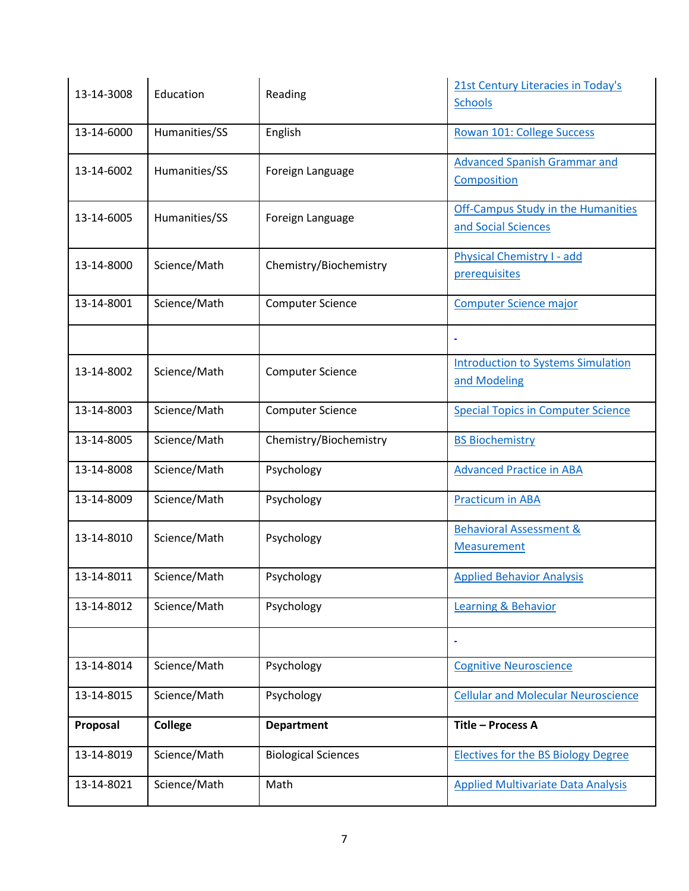| 13-14-3008 | Education      | Reading                    | 21st Century Literacies in Today's<br><b>Schools</b>             |
|------------|----------------|----------------------------|------------------------------------------------------------------|
| 13-14-6000 | Humanities/SS  | English                    | Rowan 101: College Success                                       |
| 13-14-6002 | Humanities/SS  | Foreign Language           | <b>Advanced Spanish Grammar and</b><br>Composition               |
| 13-14-6005 | Humanities/SS  | Foreign Language           | <b>Off-Campus Study in the Humanities</b><br>and Social Sciences |
| 13-14-8000 | Science/Math   | Chemistry/Biochemistry     | <b>Physical Chemistry I - add</b><br>prerequisites               |
| 13-14-8001 | Science/Math   | <b>Computer Science</b>    | <b>Computer Science major</b>                                    |
|            |                |                            |                                                                  |
| 13-14-8002 | Science/Math   | <b>Computer Science</b>    | <b>Introduction to Systems Simulation</b><br>and Modeling        |
| 13-14-8003 | Science/Math   | <b>Computer Science</b>    | <b>Special Topics in Computer Science</b>                        |
| 13-14-8005 | Science/Math   | Chemistry/Biochemistry     | <b>BS Biochemistry</b>                                           |
| 13-14-8008 | Science/Math   | Psychology                 | <b>Advanced Practice in ABA</b>                                  |
| 13-14-8009 | Science/Math   | Psychology                 | <b>Practicum in ABA</b>                                          |
| 13-14-8010 | Science/Math   | Psychology                 | Behavioral Assessment &<br><b>Measurement</b>                    |
| 13-14-8011 | Science/Math   | Psychology                 | <b>Applied Behavior Analysis</b>                                 |
| 13-14-8012 | Science/Math   | Psychology                 | <b>Learning &amp; Behavior</b>                                   |
|            |                |                            |                                                                  |
| 13-14-8014 | Science/Math   | Psychology                 | <b>Cognitive Neuroscience</b>                                    |
| 13-14-8015 | Science/Math   | Psychology                 | <b>Cellular and Molecular Neuroscience</b>                       |
| Proposal   | <b>College</b> | <b>Department</b>          | Title - Process A                                                |
| 13-14-8019 | Science/Math   | <b>Biological Sciences</b> | <b>Electives for the BS Biology Degree</b>                       |
| 13-14-8021 | Science/Math   | Math                       | <b>Applied Multivariate Data Analysis</b>                        |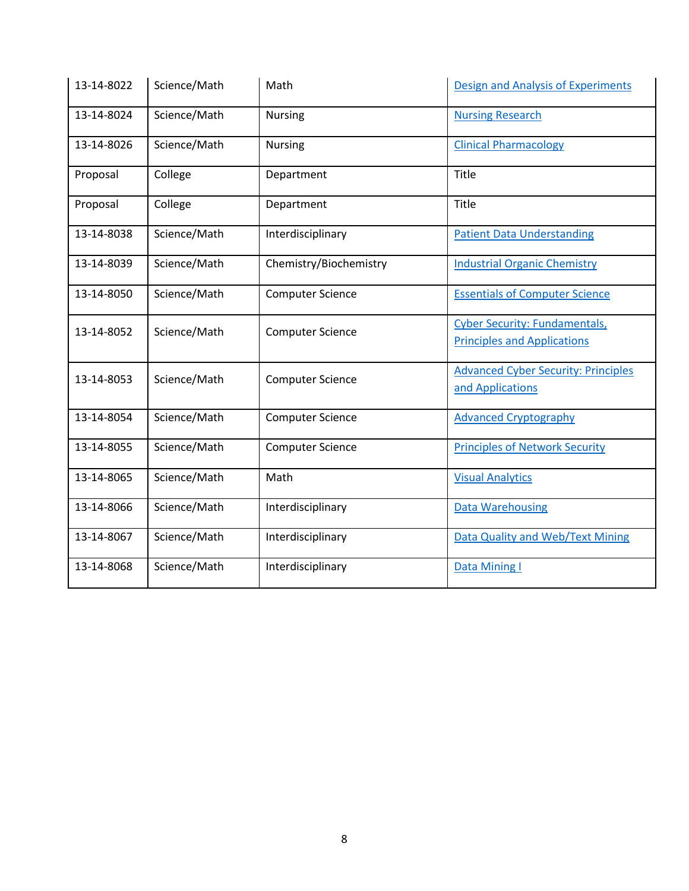| 13-14-8022 | Science/Math | Math                    | <b>Design and Analysis of Experiments</b>                                  |
|------------|--------------|-------------------------|----------------------------------------------------------------------------|
| 13-14-8024 | Science/Math | <b>Nursing</b>          | <b>Nursing Research</b>                                                    |
| 13-14-8026 | Science/Math | <b>Nursing</b>          | <b>Clinical Pharmacology</b>                                               |
| Proposal   | College      | Department              | Title                                                                      |
| Proposal   | College      | Department              | Title                                                                      |
| 13-14-8038 | Science/Math | Interdisciplinary       | <b>Patient Data Understanding</b>                                          |
| 13-14-8039 | Science/Math | Chemistry/Biochemistry  | <b>Industrial Organic Chemistry</b>                                        |
| 13-14-8050 | Science/Math | <b>Computer Science</b> | <b>Essentials of Computer Science</b>                                      |
| 13-14-8052 | Science/Math | <b>Computer Science</b> | <b>Cyber Security: Fundamentals,</b><br><b>Principles and Applications</b> |
|            |              |                         |                                                                            |
| 13-14-8053 | Science/Math | <b>Computer Science</b> | <b>Advanced Cyber Security: Principles</b>                                 |
|            |              |                         | and Applications                                                           |
| 13-14-8054 | Science/Math | <b>Computer Science</b> | <b>Advanced Cryptography</b>                                               |
| 13-14-8055 | Science/Math | <b>Computer Science</b> | <b>Principles of Network Security</b>                                      |
| 13-14-8065 | Science/Math | Math                    | <b>Visual Analytics</b>                                                    |
| 13-14-8066 | Science/Math | Interdisciplinary       | <b>Data Warehousing</b>                                                    |
| 13-14-8067 | Science/Math | Interdisciplinary       | <b>Data Quality and Web/Text Mining</b>                                    |
| 13-14-8068 | Science/Math | Interdisciplinary       | Data Mining I                                                              |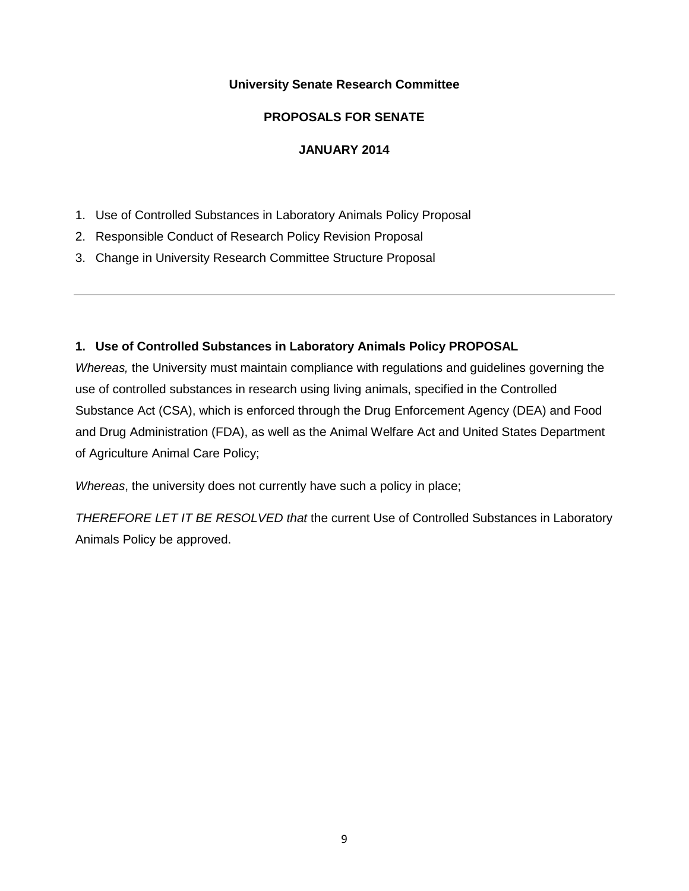#### **University Senate Research Committee**

## **PROPOSALS FOR SENATE**

### **JANUARY 2014**

- 1. Use of Controlled Substances in Laboratory Animals Policy Proposal
- 2. Responsible Conduct of Research Policy Revision Proposal
- 3. Change in University Research Committee Structure Proposal

## **1. Use of Controlled Substances in Laboratory Animals Policy PROPOSAL**

*Whereas,* the University must maintain compliance with regulations and guidelines governing the use of controlled substances in research using living animals, specified in the Controlled Substance Act (CSA), which is enforced through the Drug Enforcement Agency (DEA) and Food and Drug Administration (FDA), as well as the Animal Welfare Act and United States Department of Agriculture Animal Care Policy;

*Whereas*, the university does not currently have such a policy in place;

*THEREFORE LET IT BE RESOLVED that* the current Use of Controlled Substances in Laboratory Animals Policy be approved.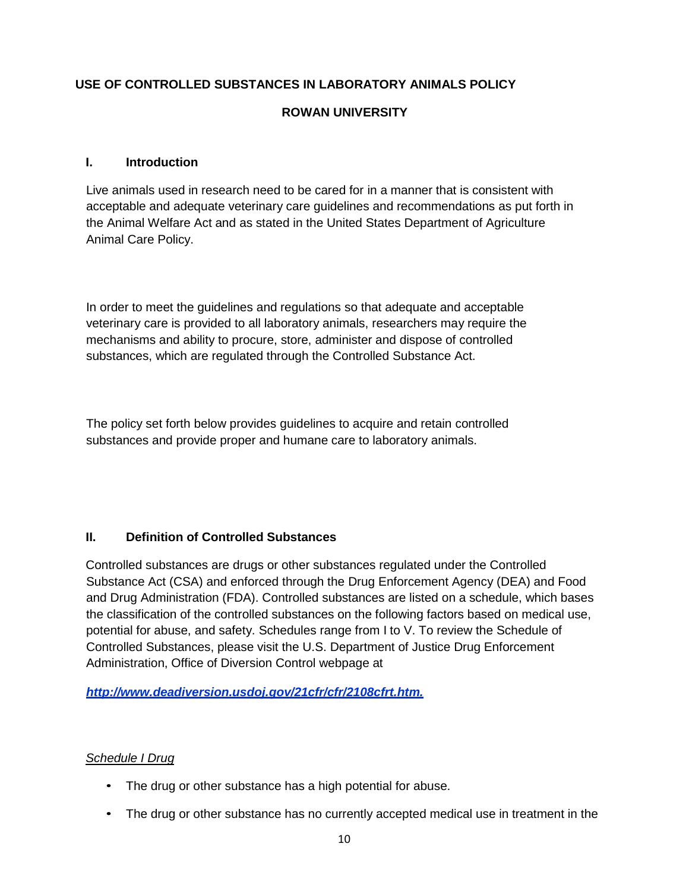# **USE OF CONTROLLED SUBSTANCES IN LABORATORY ANIMALS POLICY**

# **ROWAN UNIVERSITY**

## **I. Introduction**

Live animals used in research need to be cared for in a manner that is consistent with acceptable and adequate veterinary care guidelines and recommendations as put forth in the Animal Welfare Act and as stated in the United States Department of Agriculture Animal Care Policy.

In order to meet the guidelines and regulations so that adequate and acceptable veterinary care is provided to all laboratory animals, researchers may require the mechanisms and ability to procure, store, administer and dispose of controlled substances, which are regulated through the Controlled Substance Act.

The policy set forth below provides guidelines to acquire and retain controlled substances and provide proper and humane care to laboratory animals.

#### **II. Definition of Controlled Substances**

Controlled substances are drugs or other substances regulated under the Controlled Substance Act (CSA) and enforced through the Drug Enforcement Agency (DEA) and Food and Drug Administration (FDA). Controlled substances are listed on a schedule, which bases the classification of the controlled substances on the following factors based on medical use, potential for abuse, and safety. Schedules range from I to V. To review the Schedule of Controlled Substances, please visit the U.S. Department of Justice Drug Enforcement Administration, Office of Diversion Control webpage at

*[http://www.deadiversion.usdoj.gov/21cfr/cfr/2108cfrt.htm.](http://www.deadiversion.usdoj.gov/21cfr/cfr/2108cfrt.htm)*

#### *Schedule I Drug*

- The drug or other substance has a high potential for abuse.
- The drug or other substance has no currently accepted medical use in treatment in the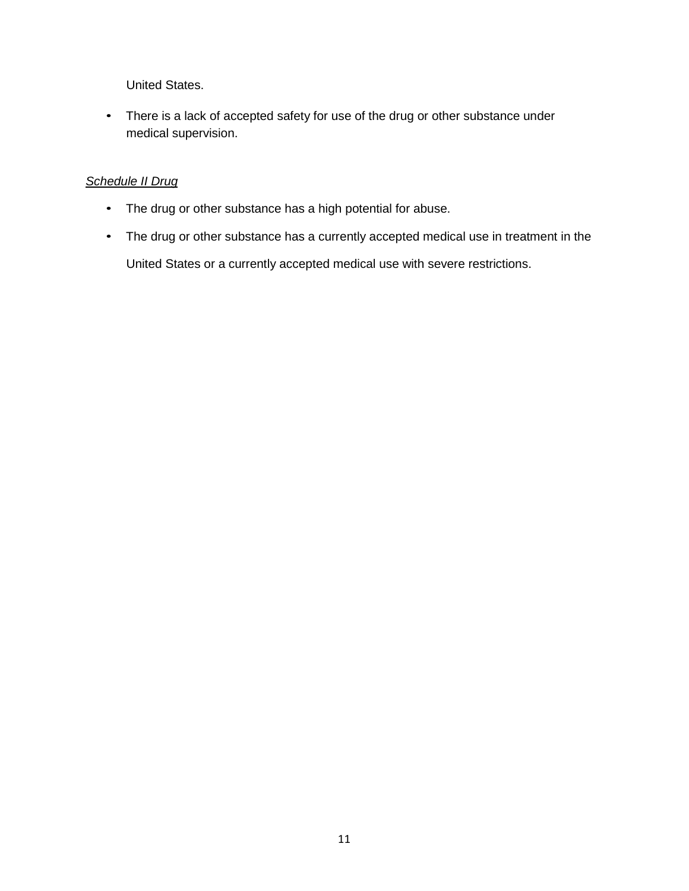United States.

• There is a lack of accepted safety for use of the drug or other substance under medical supervision.

# *Schedule II Drug*

- The drug or other substance has a high potential for abuse.
- The drug or other substance has a currently accepted medical use in treatment in the

United States or a currently accepted medical use with severe restrictions.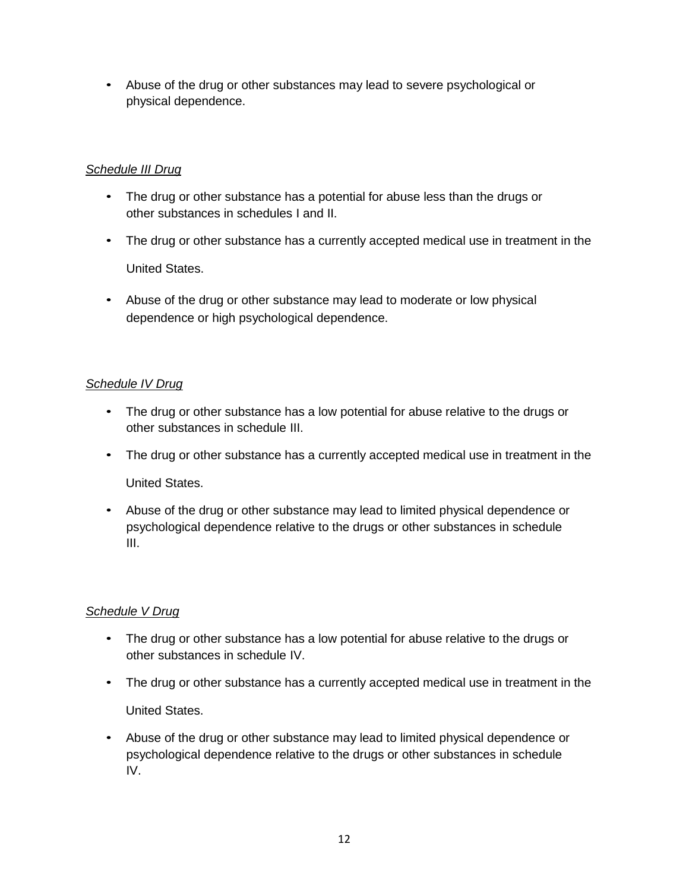• Abuse of the drug or other substances may lead to severe psychological or physical dependence.

# *Schedule III Drug*

- The drug or other substance has a potential for abuse less than the drugs or other substances in schedules I and II.
- The drug or other substance has a currently accepted medical use in treatment in the United States.
- Abuse of the drug or other substance may lead to moderate or low physical dependence or high psychological dependence.

# *Schedule IV Drug*

- The drug or other substance has a low potential for abuse relative to the drugs or other substances in schedule III.
- The drug or other substance has a currently accepted medical use in treatment in the

United States.

• Abuse of the drug or other substance may lead to limited physical dependence or psychological dependence relative to the drugs or other substances in schedule III.

# *Schedule V Drug*

- The drug or other substance has a low potential for abuse relative to the drugs or other substances in schedule IV.
- The drug or other substance has a currently accepted medical use in treatment in the United States.
- Abuse of the drug or other substance may lead to limited physical dependence or psychological dependence relative to the drugs or other substances in schedule IV.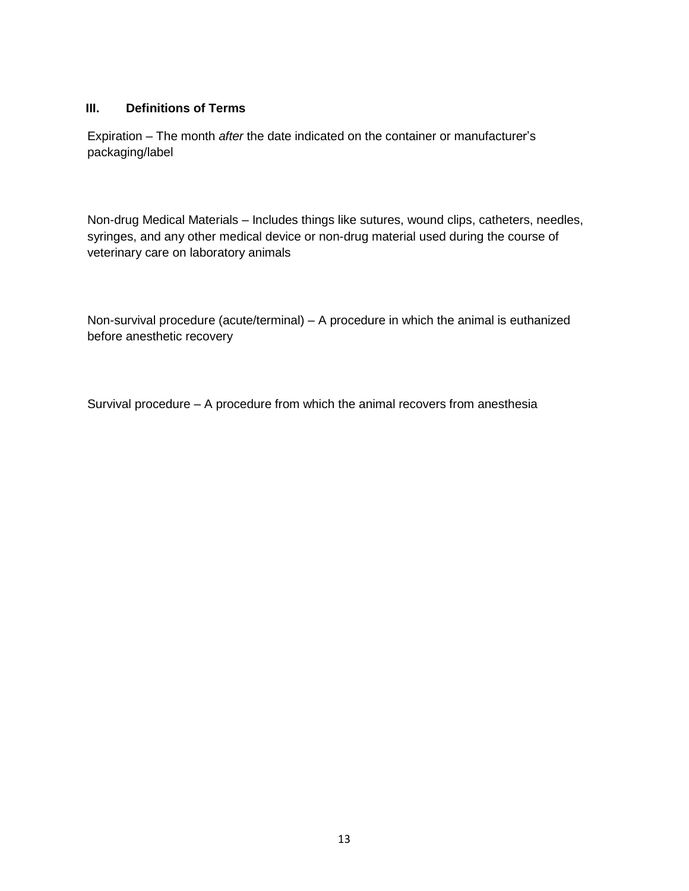## **III. Definitions of Terms**

Expiration – The month *after* the date indicated on the container or manufacturer's packaging/label

Non-drug Medical Materials – Includes things like sutures, wound clips, catheters, needles, syringes, and any other medical device or non-drug material used during the course of veterinary care on laboratory animals

Non-survival procedure (acute/terminal) – A procedure in which the animal is euthanized before anesthetic recovery

Survival procedure – A procedure from which the animal recovers from anesthesia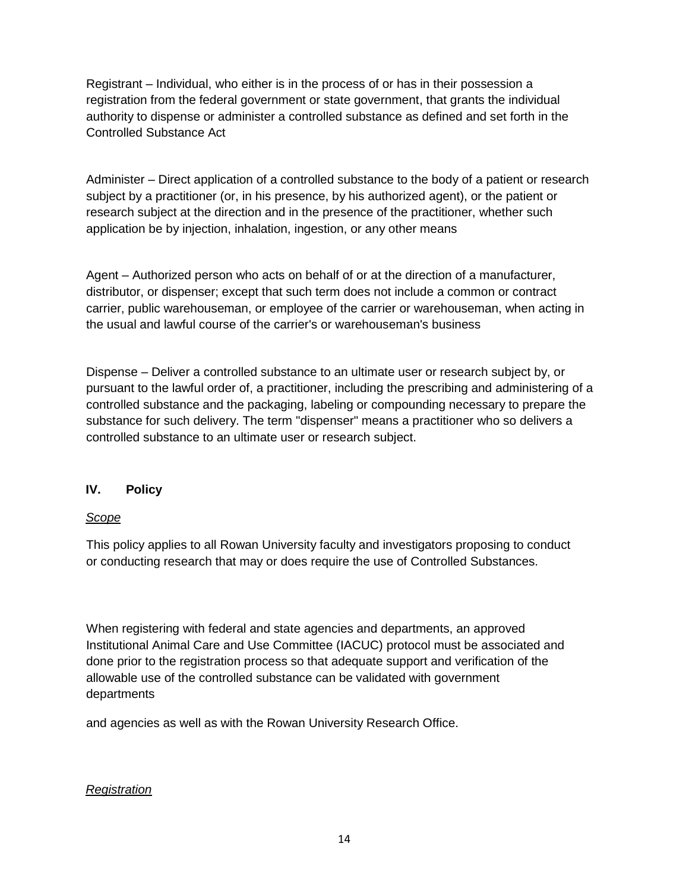Registrant – Individual, who either is in the process of or has in their possession a registration from the federal government or state government, that grants the individual authority to dispense or administer a controlled substance as defined and set forth in the Controlled Substance Act

Administer – Direct application of a controlled substance to the body of a patient or research subject by a practitioner (or, in his presence, by his authorized agent), or the patient or research subject at the direction and in the presence of the practitioner, whether such application be by injection, inhalation, ingestion, or any other means

Agent – Authorized person who acts on behalf of or at the direction of a manufacturer, distributor, or dispenser; except that such term does not include a common or contract carrier, public warehouseman, or employee of the carrier or warehouseman, when acting in the usual and lawful course of the carrier's or warehouseman's business

Dispense – Deliver a controlled substance to an ultimate user or research subject by, or pursuant to the lawful order of, a practitioner, including the prescribing and administering of a controlled substance and the packaging, labeling or compounding necessary to prepare the substance for such delivery. The term "dispenser" means a practitioner who so delivers a controlled substance to an ultimate user or research subject.

# **IV. Policy**

#### *Scope*

This policy applies to all Rowan University faculty and investigators proposing to conduct or conducting research that may or does require the use of Controlled Substances.

When registering with federal and state agencies and departments, an approved Institutional Animal Care and Use Committee (IACUC) protocol must be associated and done prior to the registration process so that adequate support and verification of the allowable use of the controlled substance can be validated with government departments

and agencies as well as with the Rowan University Research Office.

# *Registration*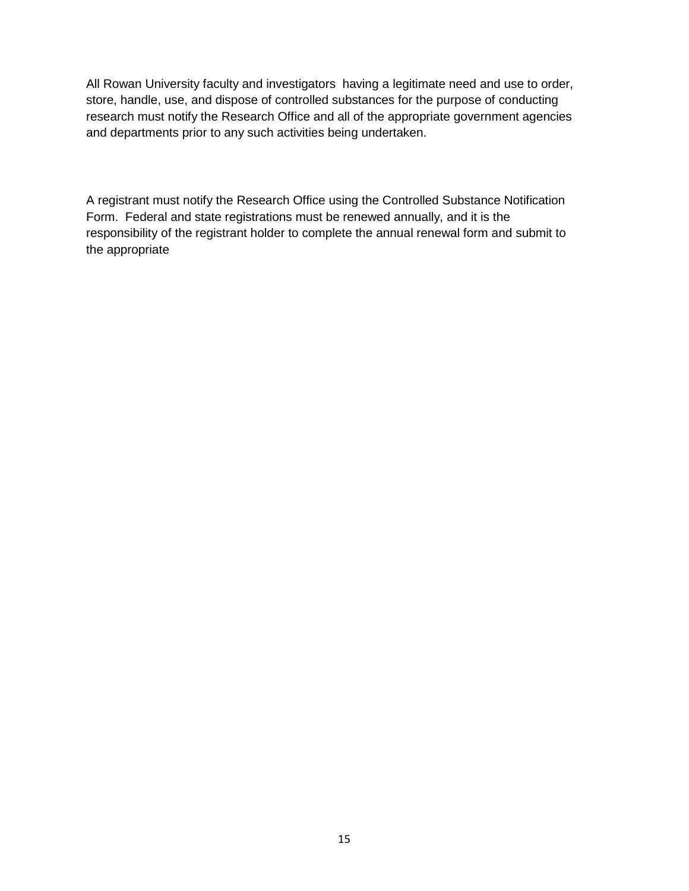All Rowan University faculty and investigators having a legitimate need and use to order, store, handle, use, and dispose of controlled substances for the purpose of conducting research must notify the Research Office and all of the appropriate government agencies and departments prior to any such activities being undertaken.

A registrant must notify the Research Office using the Controlled Substance Notification Form. Federal and state registrations must be renewed annually, and it is the responsibility of the registrant holder to complete the annual renewal form and submit to the appropriate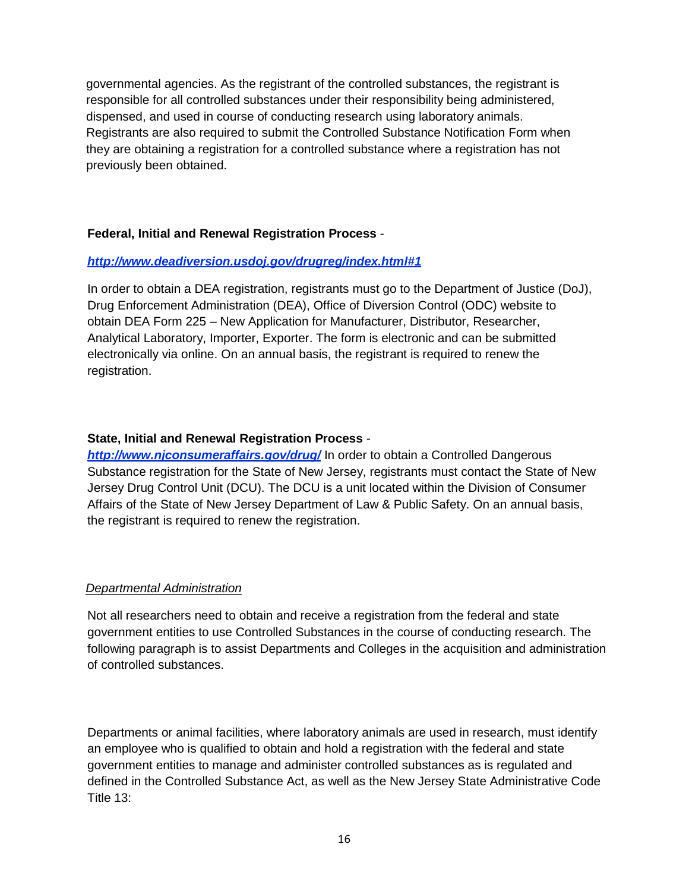governmental agencies. As the registrant of the controlled substances, the registrant is responsible for all controlled substances under their responsibility being administered, dispensed, and used in course of conducting research using laboratory animals. Registrants are also required to submit the Controlled Substance Notification Form when they are obtaining a registration for a controlled substance where a registration has not previously been obtained.

#### **Federal, Initial and Renewal Registration Process** -

#### *<http://www.deadiversion.usdoj.gov/drugreg/index.html#1>*

In order to obtain a DEA registration, registrants must go to the Department of Justice (DoJ), Drug Enforcement Administration (DEA), Office of Diversion Control (ODC) website to obtain DEA Form 225 – New Application for Manufacturer, Distributor, Researcher, Analytical Laboratory, Importer, Exporter. The form is electronic and can be submitted electronically via online. On an annual basis, the registrant is required to renew the registration.

### **State, Initial and Renewal Registration Process** -

*<http://www.njconsumeraffairs.gov/drug/>* In order to obtain a Controlled Dangerous Substance registration for the State of New Jersey, registrants must contact the State of New Jersey Drug Control Unit (DCU). The DCU is a unit located within the Division of Consumer Affairs of the State of New Jersey Department of Law & Public Safety. On an annual basis, the registrant is required to renew the registration.

#### *Departmental Administration*

Not all researchers need to obtain and receive a registration from the federal and state government entities to use Controlled Substances in the course of conducting research. The following paragraph is to assist Departments and Colleges in the acquisition and administration of controlled substances.

Departments or animal facilities, where laboratory animals are used in research, must identify an employee who is qualified to obtain and hold a registration with the federal and state government entities to manage and administer controlled substances as is regulated and defined in the Controlled Substance Act, as well as the New Jersey State Administrative Code Title 13: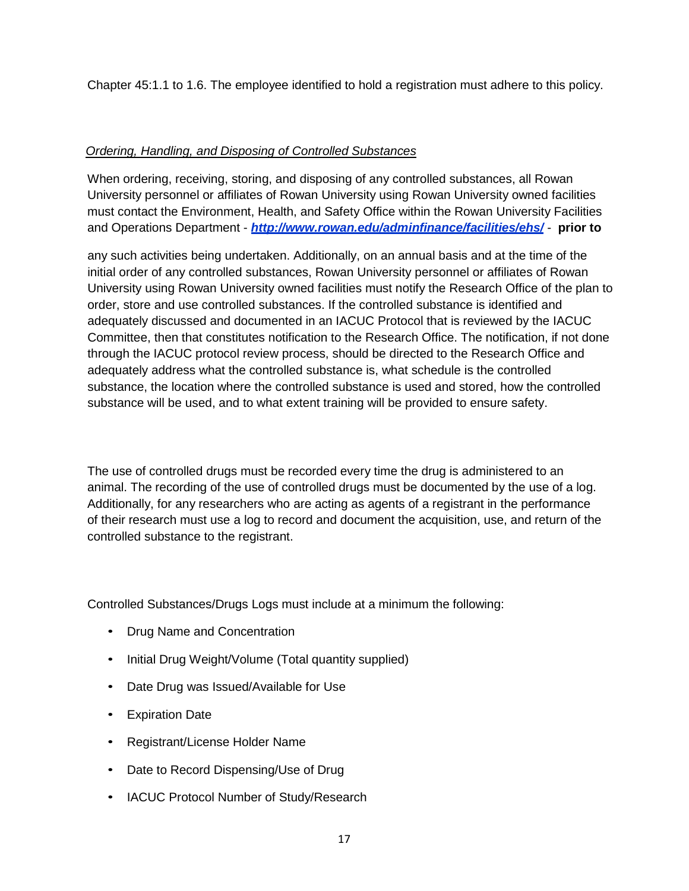Chapter 45:1.1 to 1.6. The employee identified to hold a registration must adhere to this policy.

## *Ordering, Handling, and Disposing of Controlled Substances*

When ordering, receiving, storing, and disposing of any controlled substances, all Rowan University personnel or affiliates of Rowan University using Rowan University owned facilities must contact the Environment, Health, and Safety Office within the Rowan University Facilities and Operations Department - *<http://www.rowan.edu/adminfinance/facilities/ehs/>* - **prior to**

any such activities being undertaken. Additionally, on an annual basis and at the time of the initial order of any controlled substances, Rowan University personnel or affiliates of Rowan University using Rowan University owned facilities must notify the Research Office of the plan to order, store and use controlled substances. If the controlled substance is identified and adequately discussed and documented in an IACUC Protocol that is reviewed by the IACUC Committee, then that constitutes notification to the Research Office. The notification, if not done through the IACUC protocol review process, should be directed to the Research Office and adequately address what the controlled substance is, what schedule is the controlled substance, the location where the controlled substance is used and stored, how the controlled substance will be used, and to what extent training will be provided to ensure safety.

The use of controlled drugs must be recorded every time the drug is administered to an animal. The recording of the use of controlled drugs must be documented by the use of a log. Additionally, for any researchers who are acting as agents of a registrant in the performance of their research must use a log to record and document the acquisition, use, and return of the controlled substance to the registrant.

Controlled Substances/Drugs Logs must include at a minimum the following:

- Drug Name and Concentration
- Initial Drug Weight/Volume (Total quantity supplied)
- Date Drug was Issued/Available for Use
- **Expiration Date**
- Registrant/License Holder Name
- Date to Record Dispensing/Use of Drug
- IACUC Protocol Number of Study/Research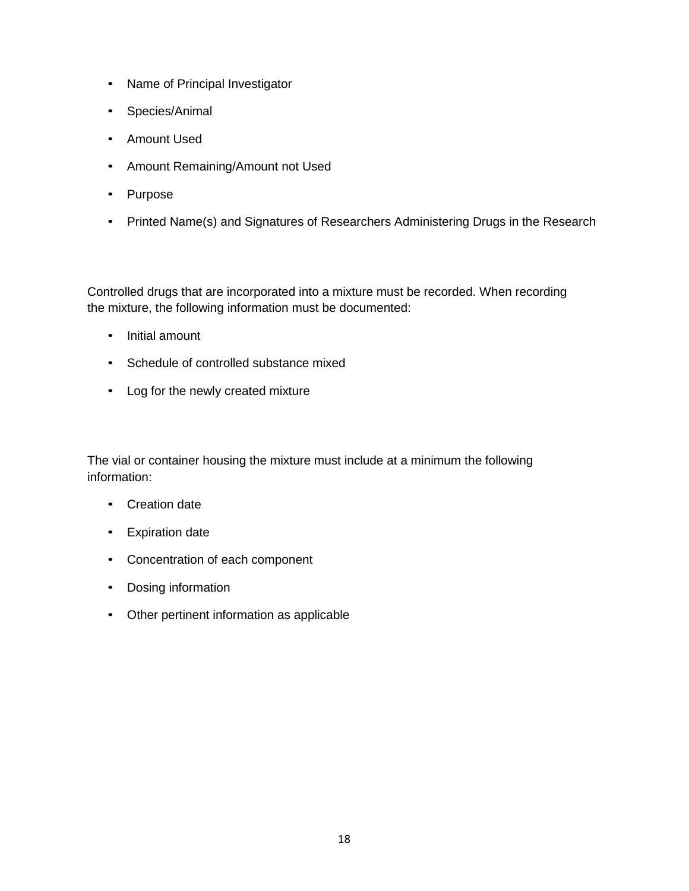- Name of Principal Investigator
- Species/Animal
- Amount Used
- Amount Remaining/Amount not Used
- Purpose
- Printed Name(s) and Signatures of Researchers Administering Drugs in the Research

Controlled drugs that are incorporated into a mixture must be recorded. When recording the mixture, the following information must be documented:

- Initial amount
- Schedule of controlled substance mixed
- Log for the newly created mixture

The vial or container housing the mixture must include at a minimum the following information:

- Creation date
- Expiration date
- Concentration of each component
- Dosing information
- Other pertinent information as applicable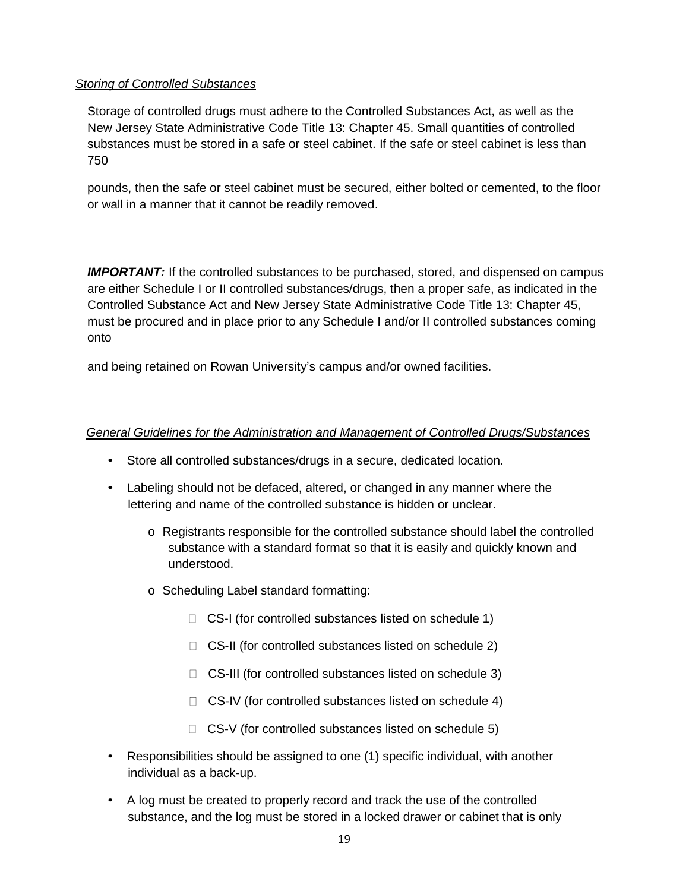## *Storing of Controlled Substances*

Storage of controlled drugs must adhere to the Controlled Substances Act, as well as the New Jersey State Administrative Code Title 13: Chapter 45. Small quantities of controlled substances must be stored in a safe or steel cabinet. If the safe or steel cabinet is less than 750

pounds, then the safe or steel cabinet must be secured, either bolted or cemented, to the floor or wall in a manner that it cannot be readily removed.

**IMPORTANT:** If the controlled substances to be purchased, stored, and dispensed on campus are either Schedule I or II controlled substances/drugs, then a proper safe, as indicated in the Controlled Substance Act and New Jersey State Administrative Code Title 13: Chapter 45, must be procured and in place prior to any Schedule I and/or II controlled substances coming onto

and being retained on Rowan University's campus and/or owned facilities.

# *General Guidelines for the Administration and Management of Controlled Drugs/Substances*

- Store all controlled substances/drugs in a secure, dedicated location.
- Labeling should not be defaced, altered, or changed in any manner where the lettering and name of the controlled substance is hidden or unclear.
	- o Registrants responsible for the controlled substance should label the controlled substance with a standard format so that it is easily and quickly known and understood.
	- o Scheduling Label standard formatting:
		- □ CS-I (for controlled substances listed on schedule 1)
		- □ CS-II (for controlled substances listed on schedule 2)
		- $\Box$  CS-III (for controlled substances listed on schedule 3)
		- $\Box$  CS-IV (for controlled substances listed on schedule 4)
		- $\Box$  CS-V (for controlled substances listed on schedule 5)
- Responsibilities should be assigned to one (1) specific individual, with another individual as a back-up.
- A log must be created to properly record and track the use of the controlled substance, and the log must be stored in a locked drawer or cabinet that is only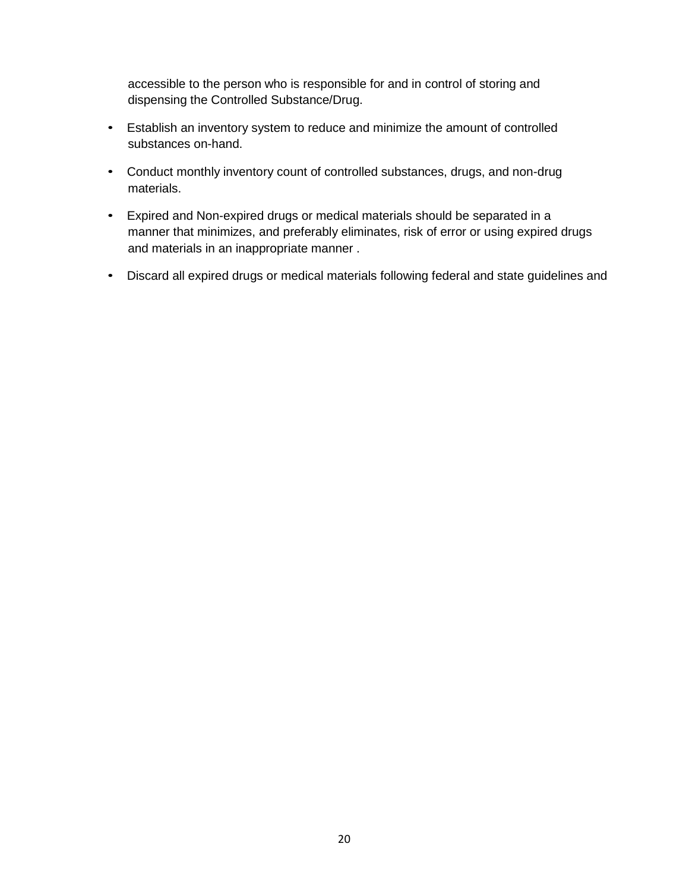accessible to the person who is responsible for and in control of storing and dispensing the Controlled Substance/Drug.

- Establish an inventory system to reduce and minimize the amount of controlled substances on-hand.
- Conduct monthly inventory count of controlled substances, drugs, and non-drug materials.
- Expired and Non-expired drugs or medical materials should be separated in a manner that minimizes, and preferably eliminates, risk of error or using expired drugs and materials in an inappropriate manner .
- Discard all expired drugs or medical materials following federal and state guidelines and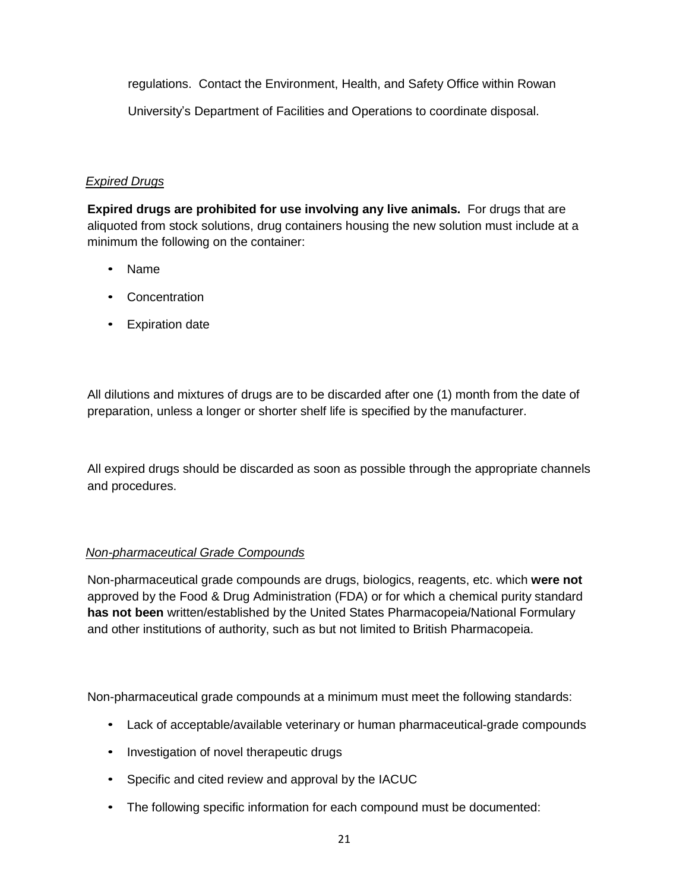regulations. Contact the Environment, Health, and Safety Office within Rowan

University's Department of Facilities and Operations to coordinate disposal.

## *Expired Drugs*

**Expired drugs are prohibited for use involving any live animals.** For drugs that are aliquoted from stock solutions, drug containers housing the new solution must include at a minimum the following on the container:

- Name
- Concentration
- Expiration date

All dilutions and mixtures of drugs are to be discarded after one (1) month from the date of preparation, unless a longer or shorter shelf life is specified by the manufacturer.

All expired drugs should be discarded as soon as possible through the appropriate channels and procedures.

# *Non-pharmaceutical Grade Compounds*

Non-pharmaceutical grade compounds are drugs, biologics, reagents, etc. which **were not**  approved by the Food & Drug Administration (FDA) or for which a chemical purity standard **has not been** written/established by the United States Pharmacopeia/National Formulary and other institutions of authority, such as but not limited to British Pharmacopeia.

Non-pharmaceutical grade compounds at a minimum must meet the following standards:

- Lack of acceptable/available veterinary or human pharmaceutical-grade compounds
- Investigation of novel therapeutic drugs
- Specific and cited review and approval by the IACUC
- The following specific information for each compound must be documented: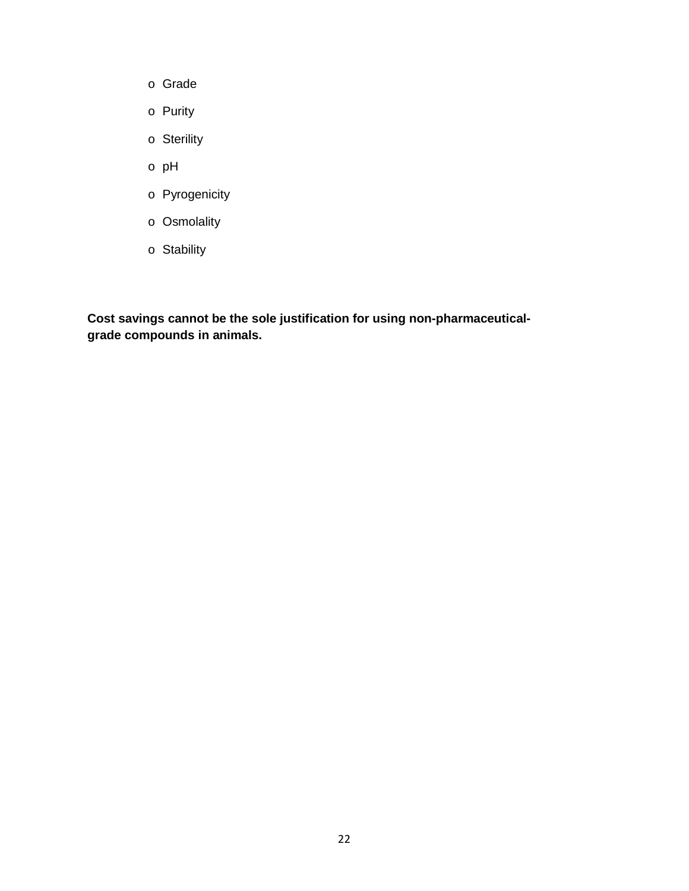- o Grade
- o Purity
- o Sterility
- o pH
- o Pyrogenicity
- o Osmolality
- o Stability

**Cost savings cannot be the sole justification for using non-pharmaceuticalgrade compounds in animals.**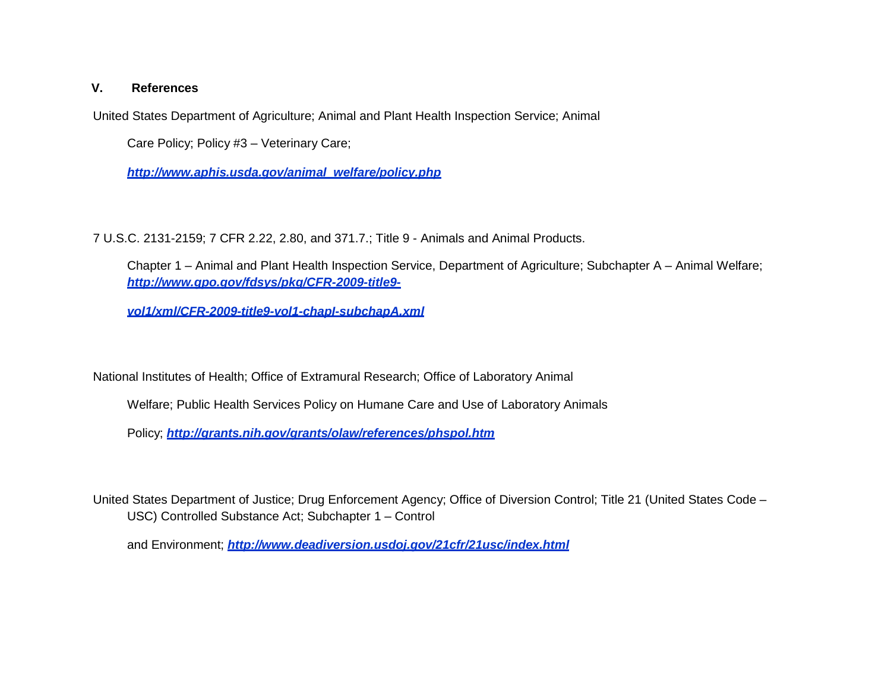#### **V. References**

United States Department of Agriculture; Animal and Plant Health Inspection Service; Animal

Care Policy; Policy #3 – Veterinary Care;

*[http://www.aphis.usda.gov/animal\\_welfare/policy.php](http://www.aphis.usda.gov/animal_welfare/policy.php)*

7 U.S.C. 2131-2159; 7 CFR 2.22, 2.80, and 371.7.; Title 9 - Animals and Animal Products.

Chapter 1 – Animal and Plant Health Inspection Service, Department of Agriculture; Subchapter A – Animal Welfare; *[http://www.gpo.gov/fdsys/pkg/CFR-2009-title9-](http://www.gpo.gov/fdsys/pkg/CFR-2009-title9-vol1/xml/CFR-2009-title9-vol1-chapI-subchapA.xml)*

*[vol1/xml/CFR-2009-title9-vol1-chapI-subchapA.xml](http://www.gpo.gov/fdsys/pkg/CFR-2009-title9-vol1/xml/CFR-2009-title9-vol1-chapI-subchapA.xml)*

National Institutes of Health; Office of Extramural Research; Office of Laboratory Animal

Welfare; Public Health Services Policy on Humane Care and Use of Laboratory Animals

Policy; *<http://grants.nih.gov/grants/olaw/references/phspol.htm>*

United States Department of Justice; Drug Enforcement Agency; Office of Diversion Control; Title 21 (United States Code – USC) Controlled Substance Act; Subchapter 1 – Control

and Environment; *<http://www.deadiversion.usdoj.gov/21cfr/21usc/index.html>*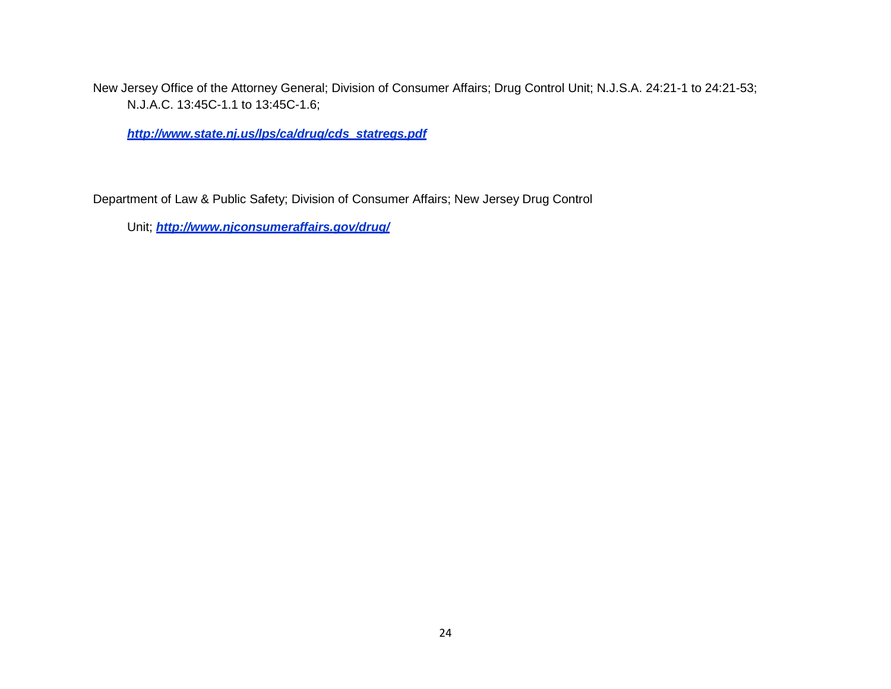New Jersey Office of the Attorney General; Division of Consumer Affairs; Drug Control Unit; N.J.S.A. 24:21-1 to 24:21-53; N.J.A.C. 13:45C-1.1 to 13:45C-1.6;

*[http://www.state.nj.us/lps/ca/drug/cds\\_statregs.pdf](http://www.state.nj.us/lps/ca/drug/cds_statregs.pdf)*

Department of Law & Public Safety; Division of Consumer Affairs; New Jersey Drug Control

Unit; *<http://www.njconsumeraffairs.gov/drug/>*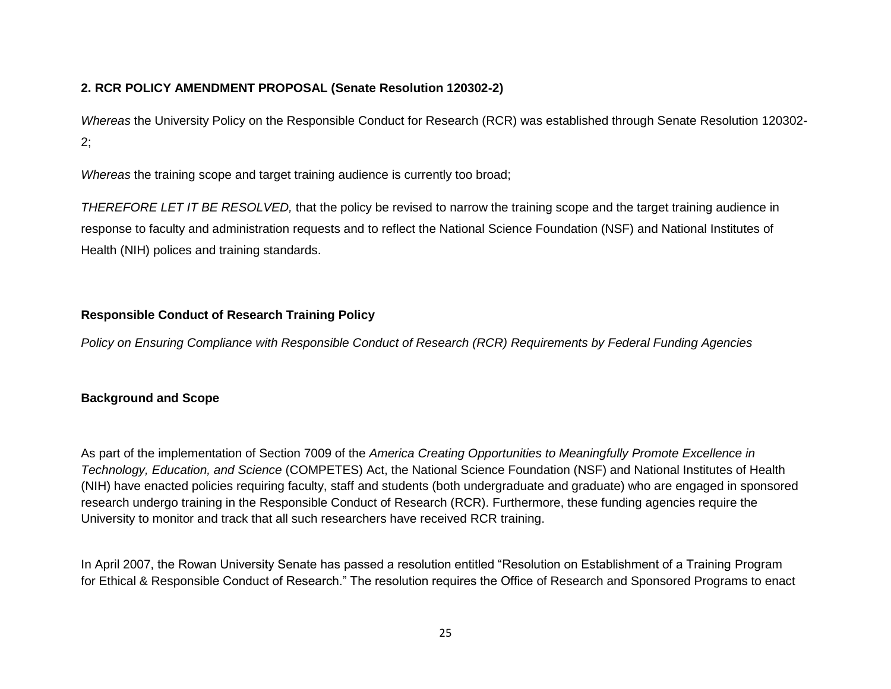## **2. RCR POLICY AMENDMENT PROPOSAL (Senate Resolution 120302-2)**

*Whereas* the University Policy on the Responsible Conduct for Research (RCR) was established through Senate Resolution 120302- 2;

*Whereas* the training scope and target training audience is currently too broad;

*THEREFORE LET IT BE RESOLVED,* that the policy be revised to narrow the training scope and the target training audience in response to faculty and administration requests and to reflect the National Science Foundation (NSF) and National Institutes of Health (NIH) polices and training standards.

## **Responsible Conduct of Research Training Policy**

*Policy on Ensuring Compliance with Responsible Conduct of Research (RCR) Requirements by Federal Funding Agencies*

## **Background and Scope**

As part of the implementation of Section 7009 of the *America Creating Opportunities to Meaningfully Promote Excellence in Technology, Education, and Science* (COMPETES) Act, the National Science Foundation (NSF) and National Institutes of Health (NIH) have enacted policies requiring faculty, staff and students (both undergraduate and graduate) who are engaged in sponsored research undergo training in the Responsible Conduct of Research (RCR). Furthermore, these funding agencies require the University to monitor and track that all such researchers have received RCR training.

In April 2007, the Rowan University Senate has passed a resolution entitled "Resolution on Establishment of a Training Program for Ethical & Responsible Conduct of Research." The resolution requires the Office of Research and Sponsored Programs to enact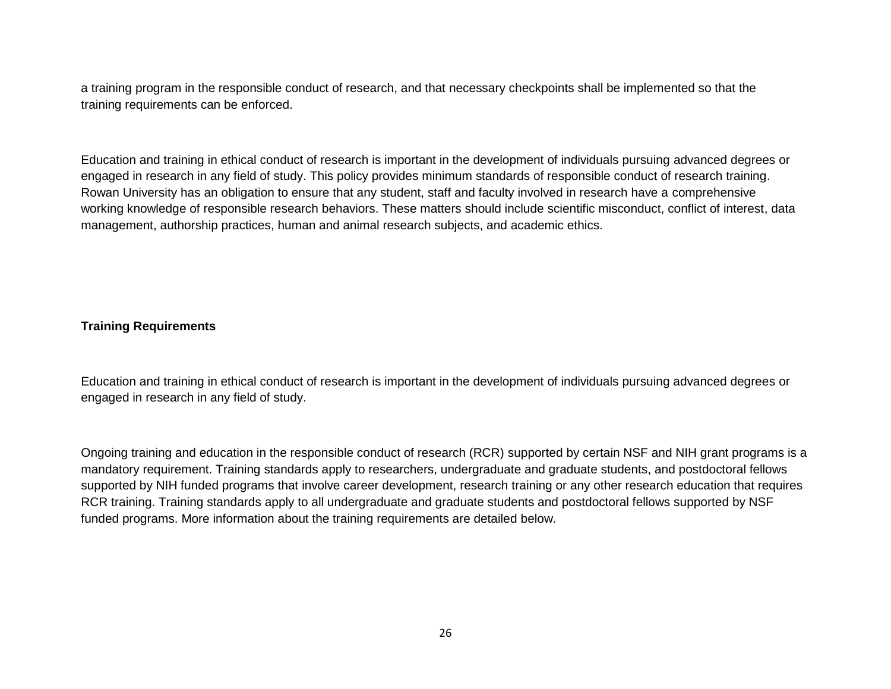a training program in the responsible conduct of research, and that necessary checkpoints shall be implemented so that the training requirements can be enforced.

Education and training in ethical conduct of research is important in the development of individuals pursuing advanced degrees or engaged in research in any field of study. This policy provides minimum standards of responsible conduct of research training. Rowan University has an obligation to ensure that any student, staff and faculty involved in research have a comprehensive working knowledge of responsible research behaviors. These matters should include scientific misconduct, conflict of interest, data management, authorship practices, human and animal research subjects, and academic ethics.

#### **Training Requirements**

Education and training in ethical conduct of research is important in the development of individuals pursuing advanced degrees or engaged in research in any field of study.

Ongoing training and education in the responsible conduct of research (RCR) supported by certain NSF and NIH grant programs is a mandatory requirement. Training standards apply to researchers, undergraduate and graduate students, and postdoctoral fellows supported by NIH funded programs that involve career development, research training or any other research education that requires RCR training. Training standards apply to all undergraduate and graduate students and postdoctoral fellows supported by NSF funded programs. More information about the training requirements are detailed below.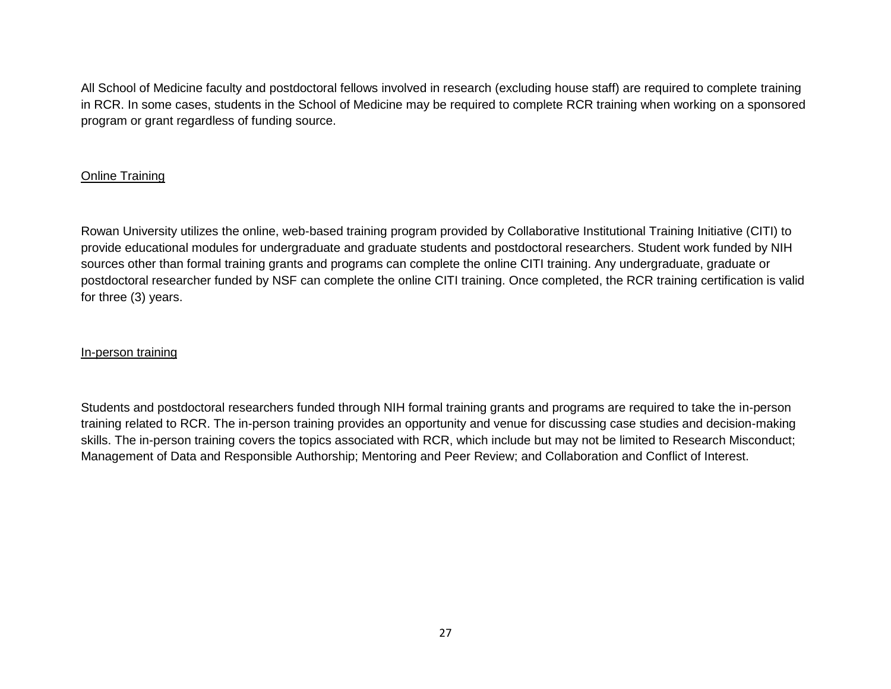All School of Medicine faculty and postdoctoral fellows involved in research (excluding house staff) are required to complete training in RCR. In some cases, students in the School of Medicine may be required to complete RCR training when working on a sponsored program or grant regardless of funding source.

## Online Training

Rowan University utilizes the online, web-based training program provided by Collaborative Institutional Training Initiative (CITI) to provide educational modules for undergraduate and graduate students and postdoctoral researchers. Student work funded by NIH sources other than formal training grants and programs can complete the online CITI training. Any undergraduate, graduate or postdoctoral researcher funded by NSF can complete the online CITI training. Once completed, the RCR training certification is valid for three (3) years.

#### In-person training

Students and postdoctoral researchers funded through NIH formal training grants and programs are required to take the in-person training related to RCR. The in-person training provides an opportunity and venue for discussing case studies and decision-making skills. The in-person training covers the topics associated with RCR, which include but may not be limited to Research Misconduct; Management of Data and Responsible Authorship; Mentoring and Peer Review; and Collaboration and Conflict of Interest.